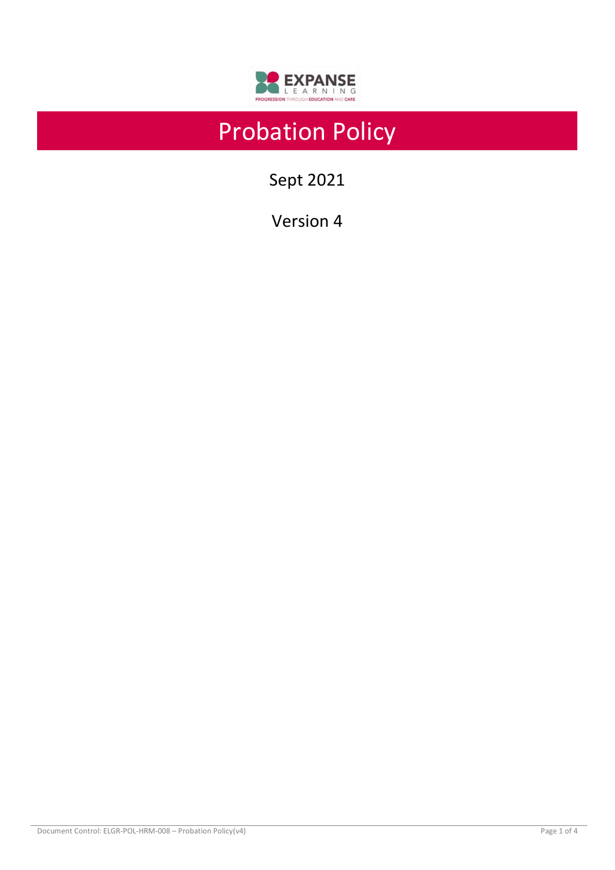

# Probation Policy

Sept 2021

Version 4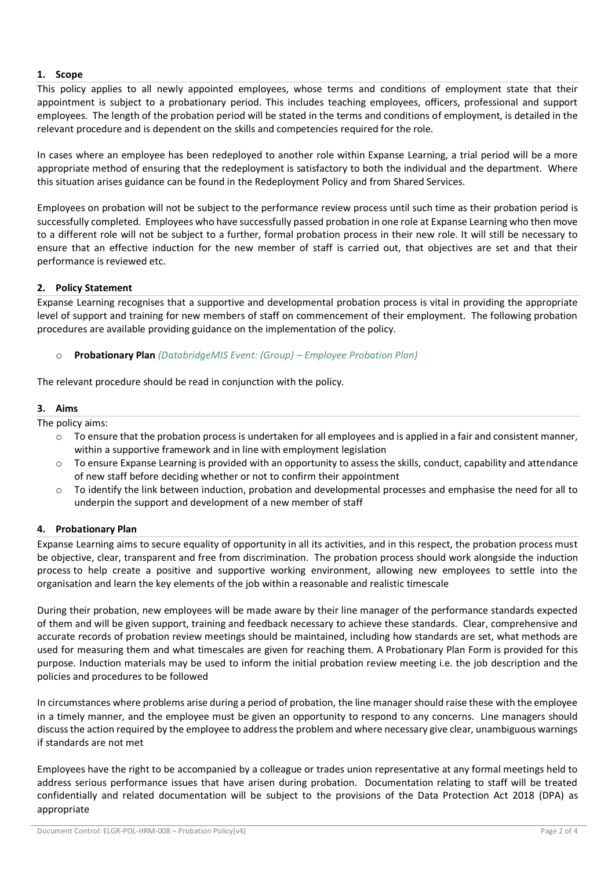## **1. Scope**

This policy applies to all newly appointed employees, whose terms and conditions of employment state that their appointment is subject to a probationary period. This includes teaching employees, officers, professional and support employees. The length of the probation period will be stated in the terms and conditions of employment, is detailed in the relevant procedure and is dependent on the skills and competencies required for the role.

In cases where an employee has been redeployed to another role within Expanse Learning, a trial period will be a more appropriate method of ensuring that the redeployment is satisfactory to both the individual and the department. Where this situation arises guidance can be found in the Redeployment Policy and from Shared Services.

Employees on probation will not be subject to the performance review process until such time as their probation period is successfully completed. Employees who have successfully passed probation in one role at Expanse Learning who then move to a different role will not be subject to a further, formal probation process in their new role. It will still be necessary to ensure that an effective induction for the new member of staff is carried out, that objectives are set and that their performance is reviewed etc.

### **2. Policy Statement**

Expanse Learning recognises that a supportive and developmental probation process is vital in providing the appropriate level of support and training for new members of staff on commencement of their employment. The following probation procedures are available providing guidance on the implementation of the policy.

# o **Probationary Plan** *(DatabridgeMIS Event: (Group) – Employee Probation Plan)*

The relevant procedure should be read in conjunction with the policy.

# **3. Aims**

The policy aims:

- $\circ$  To ensure that the probation process is undertaken for all employees and is applied in a fair and consistent manner, within a supportive framework and in line with employment legislation
- $\circ$  To ensure Expanse Learning is provided with an opportunity to assess the skills, conduct, capability and attendance of new staff before deciding whether or not to confirm their appointment
- o To identify the link between induction, probation and developmental processes and emphasise the need for all to underpin the support and development of a new member of staff

### **4. Probationary Plan**

Expanse Learning aims to secure equality of opportunity in all its activities, and in this respect, the probation process must be objective, clear, transparent and free from discrimination. The probation process should work alongside the induction process to help create a positive and supportive working environment, allowing new employees to settle into the organisation and learn the key elements of the job within a reasonable and realistic timescale

During their probation, new employees will be made aware by their line manager of the performance standards expected of them and will be given support, training and feedback necessary to achieve these standards. Clear, comprehensive and accurate records of probation review meetings should be maintained, including how standards are set, what methods are used for measuring them and what timescales are given for reaching them. A Probationary Plan Form is provided for this purpose. Induction materials may be used to inform the initial probation review meeting i.e. the job description and the policies and procedures to be followed

In circumstances where problems arise during a period of probation, the line manager should raise these with the employee in a timely manner, and the employee must be given an opportunity to respond to any concerns. Line managers should discuss the action required by the employee to address the problem and where necessary give clear, unambiguous warnings if standards are not met

Employees have the right to be accompanied by a colleague or trades union representative at any formal meetings held to address serious performance issues that have arisen during probation. Documentation relating to staff will be treated confidentially and related documentation will be subject to the provisions of the Data Protection Act 2018 (DPA) as appropriate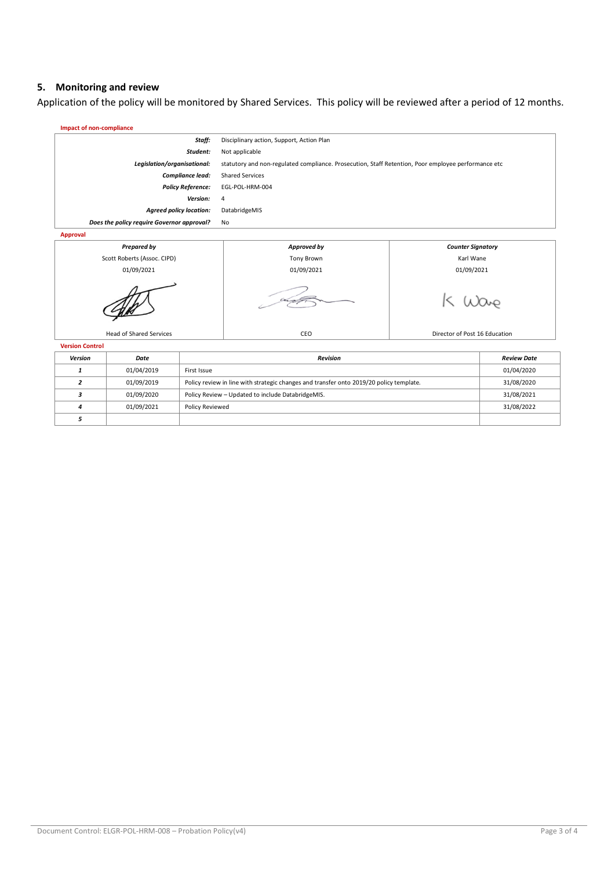#### **5. Monitoring and review**

*5*

Application of the policy will be monitored by Shared Services. This policy will be reviewed after a period of 12 months.



*4* 01/09/2021 Policy Reviewed 31/08/2022